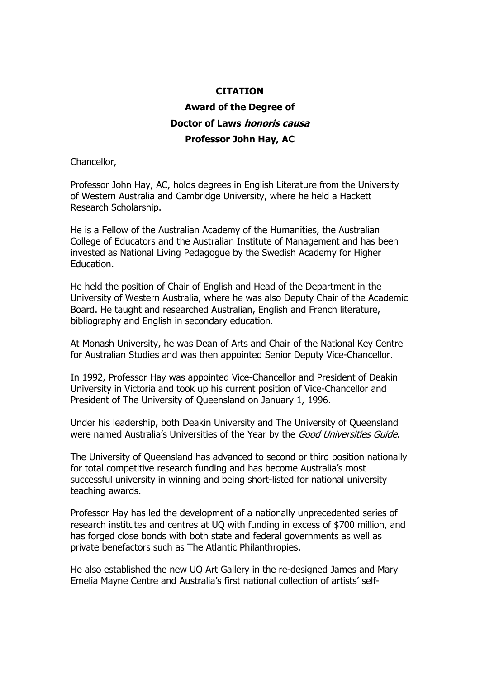## **CITATION**

## **Award of the Degree of Doctor of Laws honoris causa Professor John Hay, AC**

Chancellor,

Professor John Hay, AC, holds degrees in English Literature from the University of Western Australia and Cambridge University, where he held a Hackett Research Scholarship.

He is a Fellow of the Australian Academy of the Humanities, the Australian College of Educators and the Australian Institute of Management and has been invested as National Living Pedagogue by the Swedish Academy for Higher Education.

He held the position of Chair of English and Head of the Department in the University of Western Australia, where he was also Deputy Chair of the Academic Board. He taught and researched Australian, English and French literature, bibliography and English in secondary education.

At Monash University, he was Dean of Arts and Chair of the National Key Centre for Australian Studies and was then appointed Senior Deputy Vice-Chancellor.

In 1992, Professor Hay was appointed Vice-Chancellor and President of Deakin University in Victoria and took up his current position of Vice-Chancellor and President of The University of Queensland on January 1, 1996.

Under his leadership, both Deakin University and The University of Queensland were named Australia's Universities of the Year by the Good Universities Guide.

The University of Queensland has advanced to second or third position nationally for total competitive research funding and has become Australia's most successful university in winning and being short-listed for national university teaching awards.

Professor Hay has led the development of a nationally unprecedented series of research institutes and centres at UQ with funding in excess of \$700 million, and has forged close bonds with both state and federal governments as well as private benefactors such as The Atlantic Philanthropies.

He also established the new UQ Art Gallery in the re-designed James and Mary Emelia Mayne Centre and Australia's first national collection of artists' self